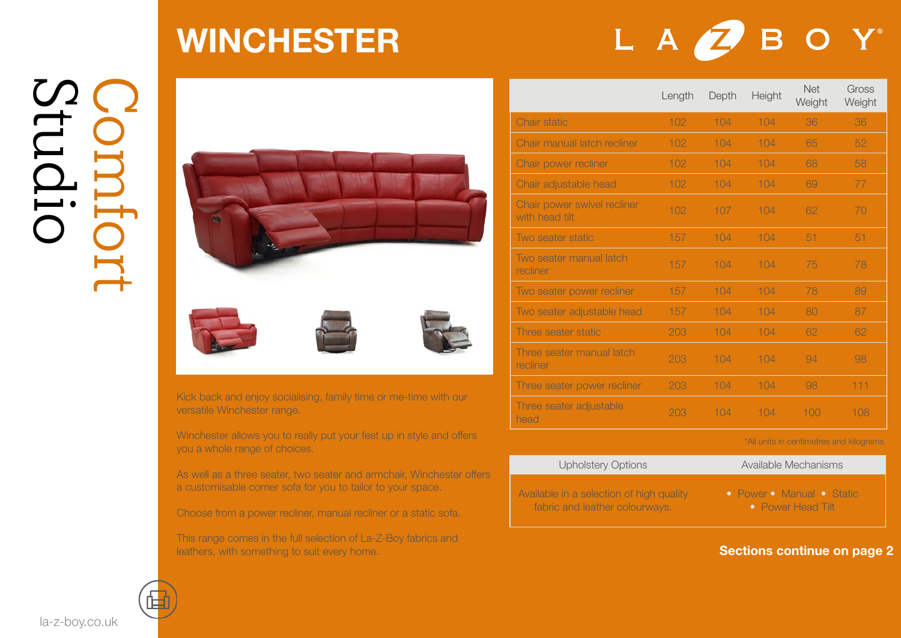# Studio Comfort

### WINCHESTER

### LA**Z**BOY



Kick back and enjoy socialising, family time or me-time with our versatile Winchester range.

Winchester allows you to really put your feet up in style and offers you a whole range of choices.

As well as a three seater, two seater and armchair, Winchester offers a customisable corner sofa for you to tailor to your space.

Choose from a power recliner, manual recliner or a static sofa.

This range comes in the full selection of La-Z-Boy fabrics and leathers, with something to suit every home.

|                                               | Length | Depth | Height | <b>Net</b><br>Weight | Gross<br>Weight |
|-----------------------------------------------|--------|-------|--------|----------------------|-----------------|
| Chair static                                  | 102    | 104   | 104    | 36                   | 36              |
| Chair manual latch recliner                   | 102    | 104   | 104    | 65                   | 52              |
| Chair power recliner                          | 102    | 104   | 104    | 68                   | 58              |
| Chair adjustable head                         | 102    | 104   | 104    | 69                   | 77              |
| Chair power swivel recliner<br>with head tilt | 102    | 107   | 104    | 62                   | 70              |
| Two seater static                             | 157    | 104   | 104    | 51                   | 51              |
| Two seater manual latch<br>recliner           | 157    | 104   | 104    | 75                   | 78              |
| Two seater power recliner                     | 157    | 104   | 104    | 78                   | 89              |
| Two seater adjustable head                    | 157    | 104   | 104    | 80                   | 87              |
| Three seater static                           | 203    | 104   | 104    | 62                   | 62              |
| Three seater manual latch<br>recliner         | 203    | 104   | 104    | 94                   | 98              |
| Three seater power recliner                   | 203    | 104   | 104    | 98                   | 111             |
| Three seater adjustable<br>head               | 203    | 104   | 104    | 100                  | 108             |

#### \*All units in centimetres and kilograms.

| <b>Upholstery Options</b>                | Available Mechanisms      |  |  |  |
|------------------------------------------|---------------------------|--|--|--|
| Available in a selection of high quality | • Power • Manual • Static |  |  |  |
| fabric and leather colourways.           | <b>•</b> Power Head Tilt  |  |  |  |

Sections continue on page 2



la-z-boy.co.uk